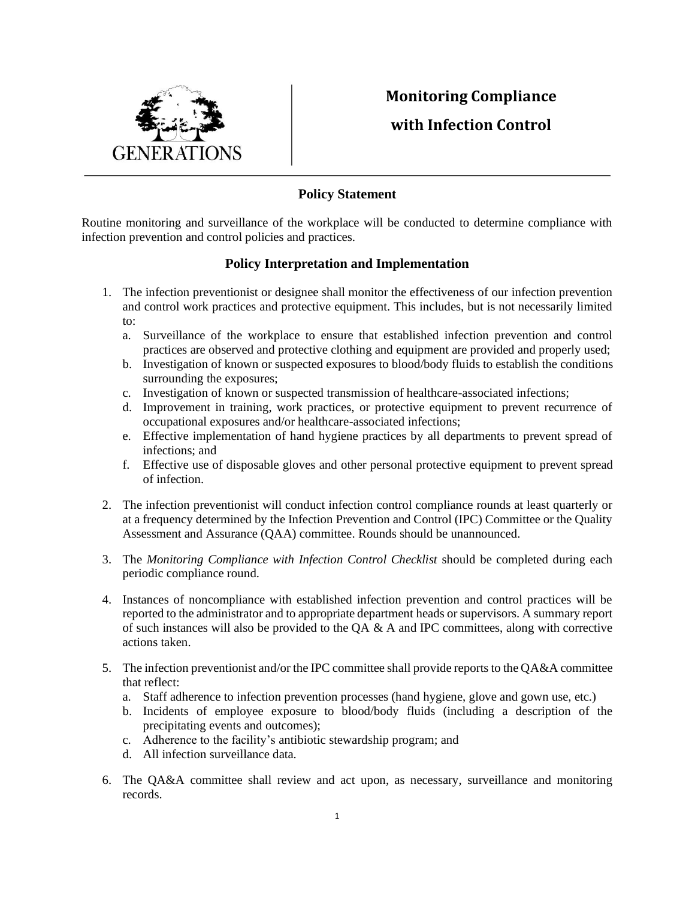

## **Monitoring Compliance with Infection Control**

## **Policy Statement**

Routine monitoring and surveillance of the workplace will be conducted to determine compliance with infection prevention and control policies and practices.

## **Policy Interpretation and Implementation**

- 1. The infection preventionist or designee shall monitor the effectiveness of our infection prevention and control work practices and protective equipment. This includes, but is not necessarily limited to:
	- a. Surveillance of the workplace to ensure that established infection prevention and control practices are observed and protective clothing and equipment are provided and properly used;
	- b. Investigation of known or suspected exposures to blood/body fluids to establish the conditions surrounding the exposures;
	- c. Investigation of known or suspected transmission of healthcare-associated infections;
	- d. Improvement in training, work practices, or protective equipment to prevent recurrence of occupational exposures and/or healthcare-associated infections;
	- e. Effective implementation of hand hygiene practices by all departments to prevent spread of infections; and
	- f. Effective use of disposable gloves and other personal protective equipment to prevent spread of infection.
- 2. The infection preventionist will conduct infection control compliance rounds at least quarterly or at a frequency determined by the Infection Prevention and Control (IPC) Committee or the Quality Assessment and Assurance (QAA) committee. Rounds should be unannounced.
- 3. The *Monitoring Compliance with Infection Control Checklist* should be completed during each periodic compliance round.
- 4. Instances of noncompliance with established infection prevention and control practices will be reported to the administrator and to appropriate department heads or supervisors. A summary report of such instances will also be provided to the  $QA & A$  and IPC committees, along with corrective actions taken.
- 5. The infection preventionist and/or the IPC committee shall provide reports to the QA&A committee that reflect:
	- a. Staff adherence to infection prevention processes (hand hygiene, glove and gown use, etc.)
	- b. Incidents of employee exposure to blood/body fluids (including a description of the precipitating events and outcomes);
	- c. Adherence to the facility's antibiotic stewardship program; and
	- d. All infection surveillance data.
- 6. The QA&A committee shall review and act upon, as necessary, surveillance and monitoring records.